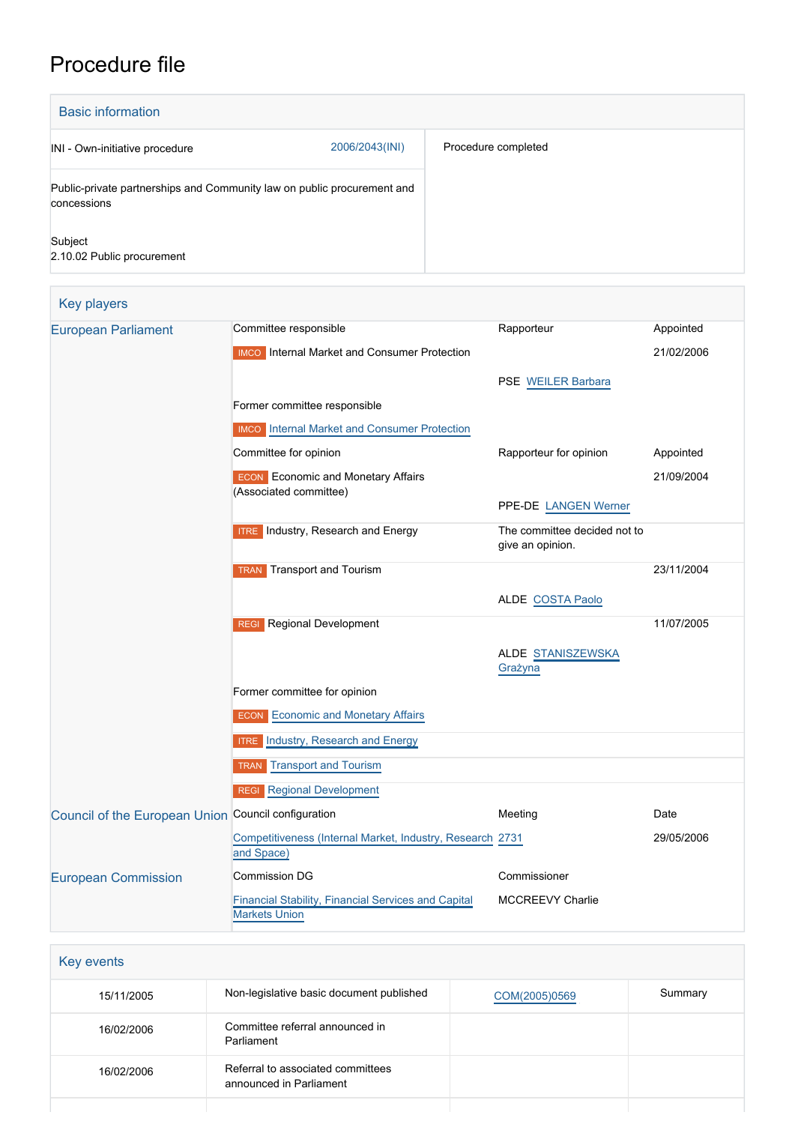# Procedure file

| <b>Basic information</b>                                                               |                |                     |  |
|----------------------------------------------------------------------------------------|----------------|---------------------|--|
| INI - Own-initiative procedure                                                         | 2006/2043(INI) | Procedure completed |  |
| Public-private partnerships and Community law on public procurement and<br>concessions |                |                     |  |
| Subject<br>2.10.02 Public procurement                                                  |                |                     |  |

| <b>Key players</b>                                  |                                                                                    |                                                  |            |
|-----------------------------------------------------|------------------------------------------------------------------------------------|--------------------------------------------------|------------|
| <b>European Parliament</b>                          | Committee responsible                                                              | Rapporteur                                       | Appointed  |
|                                                     | <b>IMCO</b> Internal Market and Consumer Protection                                |                                                  | 21/02/2006 |
|                                                     |                                                                                    | PSE WEILER Barbara                               |            |
|                                                     | Former committee responsible                                                       |                                                  |            |
|                                                     | <b>IMCO</b> Internal Market and Consumer Protection                                |                                                  |            |
|                                                     | Committee for opinion                                                              | Rapporteur for opinion                           | Appointed  |
|                                                     | <b>ECON</b> Economic and Monetary Affairs<br>(Associated committee)                |                                                  | 21/09/2004 |
|                                                     |                                                                                    | PPE-DE LANGEN Werner                             |            |
|                                                     | <b>ITRE</b> Industry, Research and Energy                                          | The committee decided not to<br>give an opinion. |            |
|                                                     | <b>TRAN</b> Transport and Tourism                                                  |                                                  | 23/11/2004 |
|                                                     |                                                                                    | <b>ALDE COSTA Paolo</b>                          |            |
|                                                     | REGI Regional Development                                                          |                                                  | 11/07/2005 |
|                                                     |                                                                                    | ALDE STANISZEWSKA<br>Grażyna                     |            |
|                                                     | Former committee for opinion                                                       |                                                  |            |
|                                                     | <b>ECON</b> Economic and Monetary Affairs                                          |                                                  |            |
|                                                     | <b>ITRE</b> Industry, Research and Energy                                          |                                                  |            |
|                                                     | <b>TRAN</b> Transport and Tourism                                                  |                                                  |            |
|                                                     | <b>REGI Regional Development</b>                                                   |                                                  |            |
| Council of the European Union Council configuration |                                                                                    | Meeting                                          | Date       |
|                                                     | Competitiveness (Internal Market, Industry, Research 2731<br>and Space)            |                                                  | 29/05/2006 |
| <b>European Commission</b>                          | Commission DG                                                                      | Commissioner                                     |            |
|                                                     | <b>Financial Stability, Financial Services and Capital</b><br><b>Markets Union</b> | <b>MCCREEVY Charlie</b>                          |            |

| Key events |                                                              |               |         |  |
|------------|--------------------------------------------------------------|---------------|---------|--|
| 15/11/2005 | Non-legislative basic document published                     | COM(2005)0569 | Summary |  |
| 16/02/2006 | Committee referral announced in<br>Parliament                |               |         |  |
| 16/02/2006 | Referral to associated committees<br>announced in Parliament |               |         |  |
|            |                                                              |               |         |  |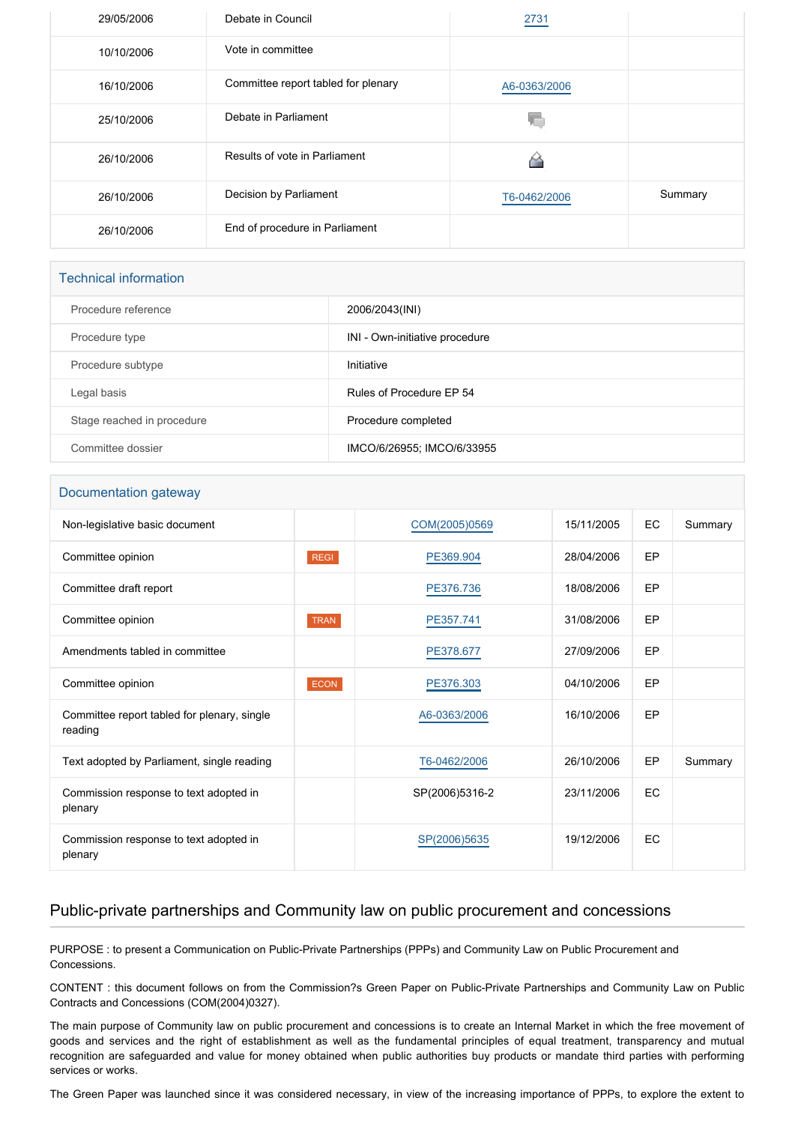| 29/05/2006 | Debate in Council                   | 2731         |         |
|------------|-------------------------------------|--------------|---------|
| 10/10/2006 | Vote in committee                   |              |         |
| 16/10/2006 | Committee report tabled for plenary | A6-0363/2006 |         |
| 25/10/2006 | Debate in Parliament                | ۱Ū           |         |
| 26/10/2006 | Results of vote in Parliament       |              |         |
| 26/10/2006 | Decision by Parliament              | T6-0462/2006 | Summary |
| 26/10/2006 | End of procedure in Parliament      |              |         |

#### Technical information

| Procedure reference        | 2006/2043(INI)                 |
|----------------------------|--------------------------------|
| Procedure type             | INI - Own-initiative procedure |
| Procedure subtype          | Initiative                     |
| Legal basis                | Rules of Procedure EP 54       |
| Stage reached in procedure | Procedure completed            |
| Committee dossier          | IMCO/6/26955; IMCO/6/33955     |

#### Documentation gateway

| Non-legislative basic document                         |             | COM(2005)0569  | 15/11/2005 | EC.       | Summary |
|--------------------------------------------------------|-------------|----------------|------------|-----------|---------|
| Committee opinion                                      | <b>REGI</b> | PE369.904      | 28/04/2006 | <b>EP</b> |         |
| Committee draft report                                 |             | PE376.736      | 18/08/2006 | <b>EP</b> |         |
| Committee opinion                                      | <b>TRAN</b> | PE357.741      | 31/08/2006 | EP        |         |
| Amendments tabled in committee                         |             | PE378.677      | 27/09/2006 | <b>EP</b> |         |
| Committee opinion                                      | <b>ECON</b> | PE376.303      | 04/10/2006 | <b>EP</b> |         |
| Committee report tabled for plenary, single<br>reading |             | A6-0363/2006   | 16/10/2006 | EP        |         |
| Text adopted by Parliament, single reading             |             | T6-0462/2006   | 26/10/2006 | EP        | Summary |
| Commission response to text adopted in<br>plenary      |             | SP(2006)5316-2 | 23/11/2006 | EC.       |         |
| Commission response to text adopted in<br>plenary      |             | SP(2006)5635   | 19/12/2006 | <b>EC</b> |         |

## Public-private partnerships and Community law on public procurement and concessions

PURPOSE : to present a Communication on Public-Private Partnerships (PPPs) and Community Law on Public Procurement and Concessions.

CONTENT : this document follows on from the Commission?s Green Paper on Public-Private Partnerships and Community Law on Public Contracts and Concessions (COM(2004)0327).

The main purpose of Community law on public procurement and concessions is to create an Internal Market in which the free movement of goods and services and the right of establishment as well as the fundamental principles of equal treatment, transparency and mutual recognition are safeguarded and value for money obtained when public authorities buy products or mandate third parties with performing services or works.

The Green Paper was launched since it was considered necessary, in view of the increasing importance of PPPs, to explore the extent to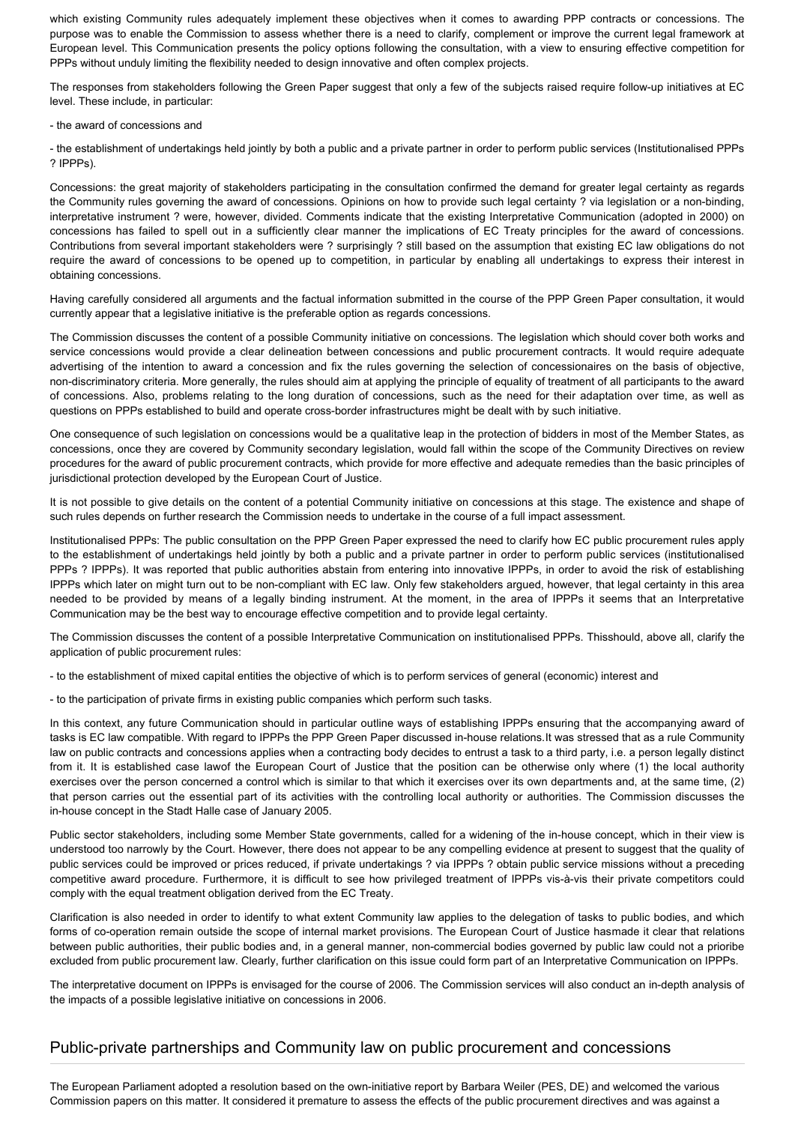which existing Community rules adequately implement these objectives when it comes to awarding PPP contracts or concessions. The purpose was to enable the Commission to assess whether there is a need to clarify, complement or improve the current legal framework at European level. This Communication presents the policy options following the consultation, with a view to ensuring effective competition for PPPs without unduly limiting the flexibility needed to design innovative and often complex projects.

The responses from stakeholders following the Green Paper suggest that only a few of the subjects raised require follow-up initiatives at EC level. These include, in particular:

- the award of concessions and

- the establishment of undertakings held jointly by both a public and a private partner in order to perform public services (Institutionalised PPPs ? IPPPs).

Concessions: the great majority of stakeholders participating in the consultation confirmed the demand for greater legal certainty as regards the Community rules governing the award of concessions. Opinions on how to provide such legal certainty ? via legislation or a non-binding, interpretative instrument ? were, however, divided. Comments indicate that the existing Interpretative Communication (adopted in 2000) on concessions has failed to spell out in a sufficiently clear manner the implications of EC Treaty principles for the award of concessions. Contributions from several important stakeholders were ? surprisingly ? still based on the assumption that existing EC law obligations do not require the award of concessions to be opened up to competition, in particular by enabling all undertakings to express their interest in obtaining concessions.

Having carefully considered all arguments and the factual information submitted in the course of the PPP Green Paper consultation, it would currently appear that a legislative initiative is the preferable option as regards concessions.

The Commission discusses the content of a possible Community initiative on concessions. The legislation which should cover both works and service concessions would provide a clear delineation between concessions and public procurement contracts. It would require adequate advertising of the intention to award a concession and fix the rules governing the selection of concessionaires on the basis of objective, non-discriminatory criteria. More generally, the rules should aim at applying the principle of equality of treatment of all participants to the award of concessions. Also, problems relating to the long duration of concessions, such as the need for their adaptation over time, as well as questions on PPPs established to build and operate cross-border infrastructures might be dealt with by such initiative.

One consequence of such legislation on concessions would be a qualitative leap in the protection of bidders in most of the Member States, as concessions, once they are covered by Community secondary legislation, would fall within the scope of the Community Directives on review procedures for the award of public procurement contracts, which provide for more effective and adequate remedies than the basic principles of jurisdictional protection developed by the European Court of Justice.

It is not possible to give details on the content of a potential Community initiative on concessions at this stage. The existence and shape of such rules depends on further research the Commission needs to undertake in the course of a full impact assessment.

Institutionalised PPPs: The public consultation on the PPP Green Paper expressed the need to clarify how EC public procurement rules apply to the establishment of undertakings held jointly by both a public and a private partner in order to perform public services (institutionalised PPPs ? IPPPs). It was reported that public authorities abstain from entering into innovative IPPPs, in order to avoid the risk of establishing IPPPs which later on might turn out to be non-compliant with EC law. Only few stakeholders argued, however, that legal certainty in this area needed to be provided by means of a legally binding instrument. At the moment, in the area of IPPPs it seems that an Interpretative Communication may be the best way to encourage effective competition and to provide legal certainty.

The Commission discusses the content of a possible Interpretative Communication on institutionalised PPPs. Thisshould, above all, clarify the application of public procurement rules:

- to the establishment of mixed capital entities the objective of which is to perform services of general (economic) interest and

- to the participation of private firms in existing public companies which perform such tasks.

In this context, any future Communication should in particular outline ways of establishing IPPPs ensuring that the accompanying award of tasks is EC law compatible. With regard to IPPPs the PPP Green Paper discussed in-house relations.It was stressed that as a rule Community law on public contracts and concessions applies when a contracting body decides to entrust a task to a third party, i.e. a person legally distinct from it. It is established case lawof the European Court of Justice that the position can be otherwise only where (1) the local authority exercises over the person concerned a control which is similar to that which it exercises over its own departments and, at the same time, (2) that person carries out the essential part of its activities with the controlling local authority or authorities. The Commission discusses the in-house concept in the Stadt Halle case of January 2005.

Public sector stakeholders, including some Member State governments, called for a widening of the in-house concept, which in their view is understood too narrowly by the Court. However, there does not appear to be any compelling evidence at present to suggest that the quality of public services could be improved or prices reduced, if private undertakings ? via IPPPs ? obtain public service missions without a preceding competitive award procedure. Furthermore, it is difficult to see how privileged treatment of IPPPs vis-à-vis their private competitors could comply with the equal treatment obligation derived from the EC Treaty.

Clarification is also needed in order to identify to what extent Community law applies to the delegation of tasks to public bodies, and which forms of co-operation remain outside the scope of internal market provisions. The European Court of Justice hasmade it clear that relations between public authorities, their public bodies and, in a general manner, non-commercial bodies governed by public law could not a prioribe excluded from public procurement law. Clearly, further clarification on this issue could form part of an Interpretative Communication on IPPPs.

The interpretative document on IPPPs is envisaged for the course of 2006. The Commission services will also conduct an in-depth analysis of the impacts of a possible legislative initiative on concessions in 2006.

### Public-private partnerships and Community law on public procurement and concessions

The European Parliament adopted a resolution based on the own-initiative report by Barbara Weiler (PES, DE) and welcomed the various Commission papers on this matter. It considered it premature to assess the effects of the public procurement directives and was against a